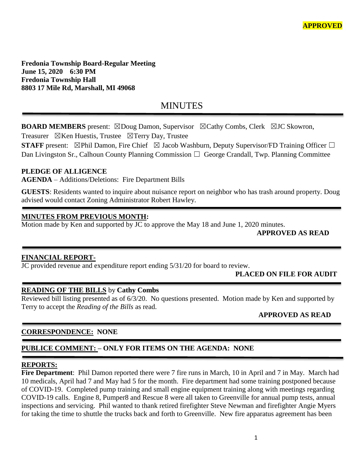**Fredonia Township Board-Regular Meeting June 15, 2020 6:30 PM Fredonia Township Hall 8803 17 Mile Rd, Marshall, MI 49068**

# **MINUTES**

**BOARD MEMBERS** present: ⊠Doug Damon, Supervisor ⊠Cathy Combs, Clerk ⊠JC Skowron,

Treasurer  $\boxtimes$ Ken Huestis, Trustee  $\boxtimes$ Terry Day, Trustee

**STAFF** present:  $\boxtimes$ Phil Damon, Fire Chief  $\boxtimes$  Jacob Washburn, Deputy Supervisor/FD Training Officer  $\Box$ Dan Livingston Sr., Calhoun County Planning Commission  $\Box$  George Crandall, Twp. Planning Committee

# **PLEDGE OF ALLIGENCE**

**AGENDA** – Additions/Deletions: Fire Department Bills

**GUESTS**: Residents wanted to inquire about nuisance report on neighbor who has trash around property. Doug advised would contact Zoning Administrator Robert Hawley.

## **MINUTES FROM PREVIOUS MONTH:**

Motion made by Ken and supported by JC to approve the May 18 and June 1, 2020 minutes.

**APPROVED AS READ**

# **FINANCIAL REPORT-**

JC provided revenue and expenditure report ending 5/31/20 for board to review.

# **PLACED ON FILE FOR AUDIT**

#### **READING OF THE BILLS** by **Cathy Combs**

Reviewed bill listing presented as of 6/3/20. No questions presented. Motion made by Ken and supported by Terry to accept the *Reading of the Bills* as read.

**APPROVED AS READ**

# **CORRESPONDENCE: NONE**

# **PUBLICE COMMENT: – ONLY FOR ITEMS ON THE AGENDA: NONE**

#### **REPORTS:**

**Fire Department**: Phil Damon reported there were 7 fire runs in March, 10 in April and 7 in May. March had 10 medicals, April had 7 and May had 5 for the month. Fire department had some training postponed because of COVID-19. Completed pump training and small engine equipment training along with meetings regarding COVID-19 calls. Engine 8, Pumper8 and Rescue 8 were all taken to Greenville for annual pump tests, annual inspections and servicing. Phil wanted to thank retired firefighter Steve Newman and firefighter Angie Myers for taking the time to shuttle the trucks back and forth to Greenville. New fire apparatus agreement has been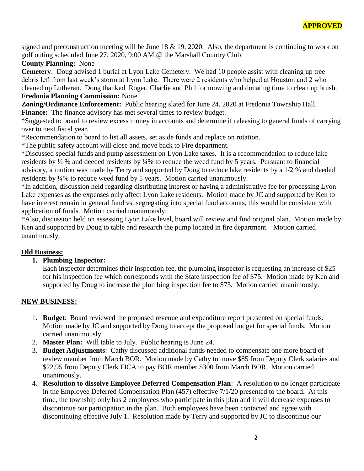signed and preconstruction meeting will be June  $18 \& 19, 2020$ . Also, the department is continuing to work on golf outing scheduled June 27, 2020, 9:00 AM @ the Marshall Country Club.

## **County Planning:** None

**Cemetery**: Doug advised 1 burial at Lyon Lake Cemetery. We had 10 people assist with cleaning up tree debris left from last week's storm at Lyon Lake. There were 2 residents who helped at Houston and 2 who cleaned up Lutheran. Doug thanked Roger, Charlie and Phil for mowing and donating time to clean up brush. **Fredonia Planning Commission:** None

**Zoning/Ordinance Enforcement:** Public hearing slated for June 24, 2020 at Fredonia Township Hall. Finance: The finance advisory has met several times to review budget.

\*Suggested to board to review excess money in accounts and determine if releasing to general funds of carrying over to next fiscal year.

\*Recommendation to board to list all assets, set aside funds and replace on rotation.

\*The public safety account will close and move back to Fire department.

\*Discussed special funds and pump assessment on Lyon Lake taxes. It is a recommendation to reduce lake residents by ½ % and deeded residents by ¼% to reduce the weed fund by 5 years. Pursuant to financial advisory, a motion was made by Terry and supported by Doug to reduce lake residents by a 1/2 % and deeded residents by ¼% to reduce weed fund by 5 years. Motion carried unanimously.

\*In addition, discussion held regarding distributing interest or having a administrative fee for processing Lyon Lake expenses as the expenses only affect Lyon Lake residents. Motion made by JC and supported by Ken to have interest remain in general fund vs. segregating into special fund accounts, this would be consistent with application of funds. Motion carried unanimously.

\*Also, discussion held on assessing Lyon Lake level, board will review and find original plan. Motion made by Ken and supported by Doug to table and research the pump located in fire department. Motion carried unanimously.

# **Old Business:**

# **1. Plumbing Inspector:**

Each inspector determines their inspection fee, the plumbing inspector is requesting an increase of \$25 for his inspection fee which corresponds with the State inspection fee of \$75. Motion made by Ken and supported by Doug to increase the plumbing inspection fee to \$75. Motion carried unanimously.

# **NEW BUSINESS:**

- 1. **Budget**: Board reviewed the proposed revenue and expenditure report presented on special funds. Motion made by JC and supported by Doug to accept the proposed budget for special funds. Motion carried unanimously.
- 2. **Master Plan:** Will table to July. Public hearing is June 24.
- 3. **Budget Adjustments**: Cathy discussed additional funds needed to compensate one more board of review member from March BOR. Motion made by Cathy to move \$85 from Deputy Clerk salaries and \$22.95 from Deputy Clerk FICA to pay BOR member \$300 from March BOR. Motion carried unanimously.
- 4. **Resolution to dissolve Employee Deferred Compensation Plan**: A resolution to no longer participate in the Employee Deferred Compensation Plan (457) effective 7/1/20 presented to the board. At this time, the township only has 2 employees who participate in this plan and it will decrease expenses to discontinue our participation in the plan. Both employees have been contacted and agree with discontinuing effective July 1. Resolution made by Terry and supported by JC to discontinue our